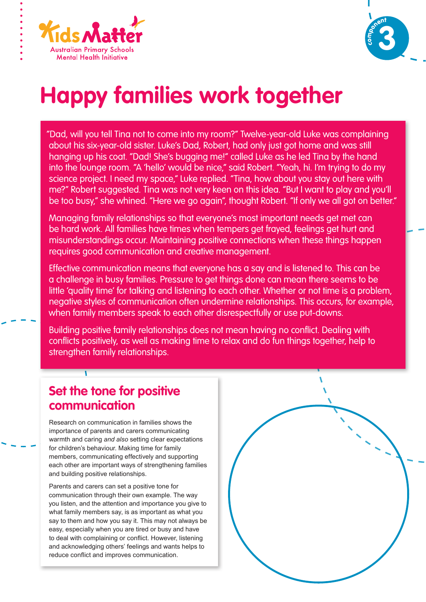



# **Happy families work together**

"Dad, will you tell Tina not to come into my room?" Twelve-year-old Luke was complaining about his six-year-old sister. Luke's Dad, Robert, had only just got home and was still hanging up his coat. "Dad! She's bugging me!" called Luke as he led Tina by the hand into the lounge room. "A 'hello' would be nice," said Robert. "Yeah, hi. I'm trying to do my science project. I need my space," Luke replied. "Tina, how about you stay out here with me?" Robert suggested. Tina was not very keen on this idea. "But I want to play and you'll be too busy," she whined. "Here we go again", thought Robert. "If only we all got on better."

Managing family relationships so that everyone's most important needs get met can be hard work. All families have times when tempers get frayed, feelings get hurt and misunderstandings occur. Maintaining positive connections when these things happen requires good communication and creative management.

Effective communication means that everyone has a say and is listened to. This can be a challenge in busy families. Pressure to get things done can mean there seems to be little 'quality time' for talking and listening to each other. Whether or not time is a problem, negative styles of communication often undermine relationships. This occurs, for example, when family members speak to each other disrespectfully or use put-downs.

Building positive family relationships does not mean having no conflict. Dealing with conflicts positively, as well as making time to relax and do fun things together, help to strengthen family relationships.

## **Set the tone for positive communication**

Research on communication in families shows the importance of parents and carers communicating warmth and caring *and also* setting clear expectations for children's behaviour. Making time for family members, communicating effectively and supporting each other are important ways of strengthening families and building positive relationships.

Parents and carers can set a positive tone for communication through their own example. The way you listen, and the attention and importance you give to what family members say, is as important as what you say to them and how you say it. This may not always be easy, especially when you are tired or busy and have to deal with complaining or conflict. However, listening and acknowledging others' feelings and wants helps to reduce conflict and improves communication.